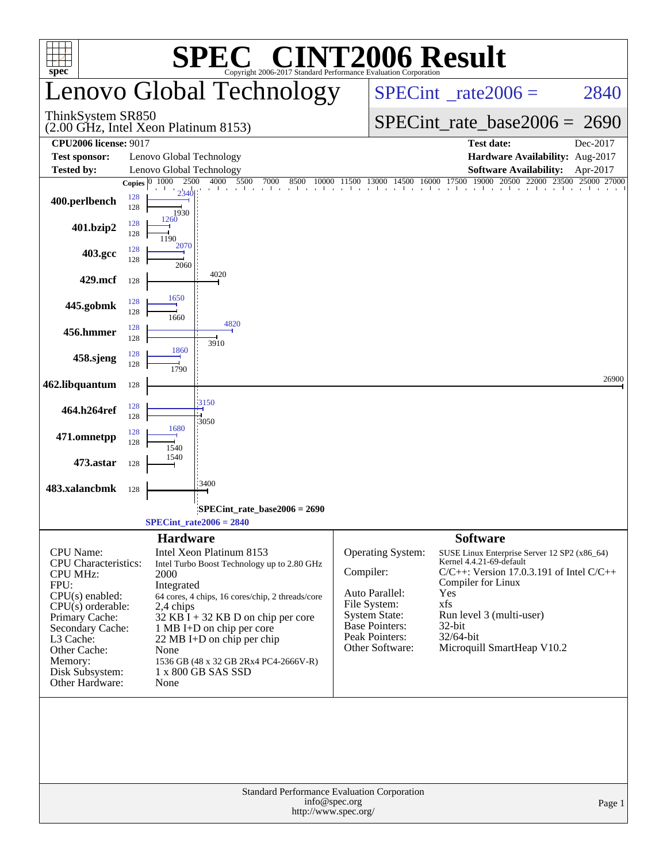| <b>SPEC<sup>®</sup> CINT2006 Result</b><br>$spec^*$<br>Copyright 2006-2017 Standard Performance Evaluation Corporation |                                                                                                                                                                                |                                                                                                                                                                                                                                                                                       |  |  |  |  |  |  |  |  |  |
|------------------------------------------------------------------------------------------------------------------------|--------------------------------------------------------------------------------------------------------------------------------------------------------------------------------|---------------------------------------------------------------------------------------------------------------------------------------------------------------------------------------------------------------------------------------------------------------------------------------|--|--|--|--|--|--|--|--|--|
|                                                                                                                        | Lenovo Global Technology                                                                                                                                                       | $SPECint^{\circ}$ rate $2006 =$<br>2840                                                                                                                                                                                                                                               |  |  |  |  |  |  |  |  |  |
| ThinkSystem SR850                                                                                                      | (2.00 GHz, Intel Xeon Platinum 8153)                                                                                                                                           | $SPECint_rate_base2006 = 2690$                                                                                                                                                                                                                                                        |  |  |  |  |  |  |  |  |  |
| <b>CPU2006 license: 9017</b>                                                                                           |                                                                                                                                                                                | <b>Test date:</b><br>Dec-2017                                                                                                                                                                                                                                                         |  |  |  |  |  |  |  |  |  |
| <b>Test sponsor:</b><br><b>Tested by:</b>                                                                              | Lenovo Global Technology<br>Lenovo Global Technology                                                                                                                           | Hardware Availability: Aug-2017<br><b>Software Availability:</b><br>Apr-2017                                                                                                                                                                                                          |  |  |  |  |  |  |  |  |  |
|                                                                                                                        | 4000<br>Copies $\boxed{0-1000}$<br>2500<br>5500<br>7000<br>8500<br>10000 11500                                                                                                 | 17500 19000 20500 22000 23500 25000 27000<br>13000 14500 16000                                                                                                                                                                                                                        |  |  |  |  |  |  |  |  |  |
| 400.perlbench                                                                                                          | 2340<br>128<br>128<br>1930                                                                                                                                                     |                                                                                                                                                                                                                                                                                       |  |  |  |  |  |  |  |  |  |
| 401.bzip2                                                                                                              | 1260<br>128<br>128<br>1190<br>2070                                                                                                                                             |                                                                                                                                                                                                                                                                                       |  |  |  |  |  |  |  |  |  |
| 403.gcc                                                                                                                | 128<br>128<br>2060                                                                                                                                                             |                                                                                                                                                                                                                                                                                       |  |  |  |  |  |  |  |  |  |
| 429.mcf                                                                                                                | 4020<br>128                                                                                                                                                                    |                                                                                                                                                                                                                                                                                       |  |  |  |  |  |  |  |  |  |
| 445.gobmk                                                                                                              | 1650<br>128<br>128<br>1660                                                                                                                                                     |                                                                                                                                                                                                                                                                                       |  |  |  |  |  |  |  |  |  |
| 456.hmmer                                                                                                              | 4820<br>128<br>128<br>3910                                                                                                                                                     |                                                                                                                                                                                                                                                                                       |  |  |  |  |  |  |  |  |  |
| 458.sjeng                                                                                                              | 1860<br>128<br>128<br>1790                                                                                                                                                     |                                                                                                                                                                                                                                                                                       |  |  |  |  |  |  |  |  |  |
| 462.libquantum                                                                                                         | 128                                                                                                                                                                            | 26900                                                                                                                                                                                                                                                                                 |  |  |  |  |  |  |  |  |  |
| 464.h264ref                                                                                                            | 3150<br>128<br>128<br>3050                                                                                                                                                     |                                                                                                                                                                                                                                                                                       |  |  |  |  |  |  |  |  |  |
| 471.omnetpp                                                                                                            | 1680<br>128<br>128<br>1540<br>1540                                                                                                                                             |                                                                                                                                                                                                                                                                                       |  |  |  |  |  |  |  |  |  |
| 473.astar                                                                                                              | 128                                                                                                                                                                            |                                                                                                                                                                                                                                                                                       |  |  |  |  |  |  |  |  |  |
| 483.xalancbmk                                                                                                          | 3400<br>128                                                                                                                                                                    |                                                                                                                                                                                                                                                                                       |  |  |  |  |  |  |  |  |  |
|                                                                                                                        | SPECint_rate_base2006 = 2690<br>$SPECint_rate2006 = 2840$                                                                                                                      |                                                                                                                                                                                                                                                                                       |  |  |  |  |  |  |  |  |  |
|                                                                                                                        | <b>Hardware</b>                                                                                                                                                                | <b>Software</b>                                                                                                                                                                                                                                                                       |  |  |  |  |  |  |  |  |  |
| <b>CPU</b> Name:<br><b>CPU</b> Characteristics:<br><b>CPU MHz:</b><br>FPU:<br>CPU(s) enabled:<br>$CPU(s)$ orderable:   | Intel Xeon Platinum 8153<br>Intel Turbo Boost Technology up to 2.80 GHz<br>2000<br>Integrated<br>64 cores, 4 chips, 16 cores/chip, 2 threads/core<br>2,4 chips                 | Operating System:<br>SUSE Linux Enterprise Server 12 SP2 (x86_64)<br>Kernel 4.4.21-69-default<br>Compiler:<br>$C/C++$ : Version 17.0.3.191 of Intel $C/C++$<br>Compiler for Linux<br>Auto Parallel:<br>Yes<br>File System:<br>xfs<br><b>System State:</b><br>Run level 3 (multi-user) |  |  |  |  |  |  |  |  |  |
| Primary Cache:<br>Secondary Cache:<br>L3 Cache:<br>Other Cache:<br>Memory:<br>Disk Subsystem:<br>Other Hardware:       | $32$ KB I + 32 KB D on chip per core<br>1 MB I+D on chip per core<br>22 MB I+D on chip per chip<br>None<br>1536 GB (48 x 32 GB 2Rx4 PC4-2666V-R)<br>1 x 800 GB SAS SSD<br>None | Base Pointers:<br>$32$ -bit<br>Peak Pointers:<br>32/64-bit<br>Other Software:<br>Microquill SmartHeap V10.2                                                                                                                                                                           |  |  |  |  |  |  |  |  |  |
|                                                                                                                        |                                                                                                                                                                                |                                                                                                                                                                                                                                                                                       |  |  |  |  |  |  |  |  |  |
|                                                                                                                        | Standard Performance Evaluation Corporation<br>info@spec.org<br>http://www.spec.org/                                                                                           | Page 1                                                                                                                                                                                                                                                                                |  |  |  |  |  |  |  |  |  |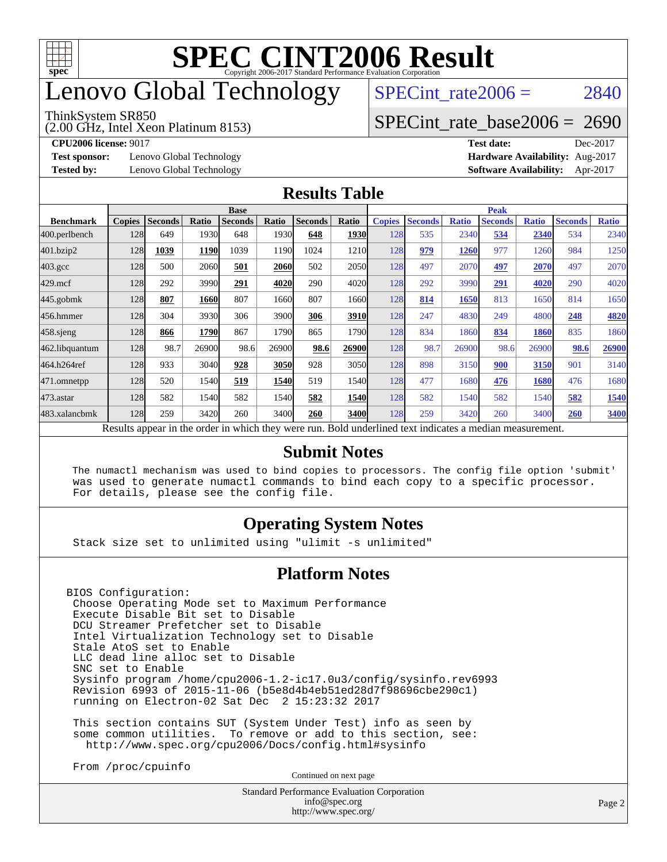

# enovo Global Technology

#### ThinkSystem SR850

(2.00 GHz, Intel Xeon Platinum 8153)

SPECint rate  $2006 = 2840$ 

#### [SPECint\\_rate\\_base2006 =](http://www.spec.org/auto/cpu2006/Docs/result-fields.html#SPECintratebase2006) 2690

**[Test sponsor:](http://www.spec.org/auto/cpu2006/Docs/result-fields.html#Testsponsor)** Lenovo Global Technology **[Hardware Availability:](http://www.spec.org/auto/cpu2006/Docs/result-fields.html#HardwareAvailability)** Aug-2017

**[CPU2006 license:](http://www.spec.org/auto/cpu2006/Docs/result-fields.html#CPU2006license)** 9017 **[Test date:](http://www.spec.org/auto/cpu2006/Docs/result-fields.html#Testdate)** Dec-2017 **[Tested by:](http://www.spec.org/auto/cpu2006/Docs/result-fields.html#Testedby)** Lenovo Global Technology **[Software Availability:](http://www.spec.org/auto/cpu2006/Docs/result-fields.html#SoftwareAvailability)** Apr-2017

#### **[Results Table](http://www.spec.org/auto/cpu2006/Docs/result-fields.html#ResultsTable)**

|                                                                                                          | <b>Base</b>   |                |       |                |       |                |             | <b>Peak</b>   |                |              |                |              |                |              |
|----------------------------------------------------------------------------------------------------------|---------------|----------------|-------|----------------|-------|----------------|-------------|---------------|----------------|--------------|----------------|--------------|----------------|--------------|
| <b>Benchmark</b>                                                                                         | <b>Copies</b> | <b>Seconds</b> | Ratio | <b>Seconds</b> | Ratio | <b>Seconds</b> | Ratio       | <b>Copies</b> | <b>Seconds</b> | <b>Ratio</b> | <b>Seconds</b> | <b>Ratio</b> | <b>Seconds</b> | <b>Ratio</b> |
| 400.perlbench                                                                                            | 128           | 649            | 1930  | 648            | 1930  | 648            | <b>1930</b> | 128           | 535            | 2340         | 534            | 2340         | 534            | 2340         |
| 401.bzip2                                                                                                | 128           | 1039           | 1190  | 1039           | 1190  | 1024           | 1210        | 128           | 979            | 1260         | 977            | 1260         | 984            | 1250         |
| $403.\mathrm{gcc}$                                                                                       | 128           | 500            | 2060  | 501            | 2060  | 502            | <b>2050</b> | 128           | 497            | 2070         | 497            | 2070         | 497            | 2070         |
| $429$ .mcf                                                                                               | 128           | 292            | 3990  | 291            | 4020  | 290            | 4020        | 128           | 292            | 3990         | 291            | 4020         | 290            | 4020         |
| $445$ .gobmk                                                                                             | 128           | 807            | 1660  | 807            | 1660  | 807            | 1660        | 128           | 814            | 1650         | 813            | 1650         | 814            | 1650         |
| 456.hmmer                                                                                                | 128           | 304            | 3930  | 306            | 3900  | 306            | 3910        | 128           | 247            | 4830         | 249            | 4800         | 248            | 4820         |
| $458$ .sjeng                                                                                             | 128           | 866            | 1790  | 867            | 1790  | 865            | 1790        | 128           | 834            | 1860         | 834            | 1860         | 835            | 1860         |
| 462.libquantum                                                                                           | 128           | 98.7           | 26900 | 98.6           | 26900 | 98.6           | 26900       | 128           | 98.7           | 26900        | 98.6           | 26900        | 98.6           | 26900        |
| 464.h264ref                                                                                              | 128           | 933            | 3040  | 928            | 3050  | 928            | 3050        | 128           | 898            | 3150         | 900            | 3150         | 901            | 3140         |
| 471.omnetpp                                                                                              | 128           | 520            | 1540  | 519            | 1540  | 519            | 1540        | 128           | 477            | 1680         | 476            | 1680         | 476            | 1680         |
| $473$ . astar                                                                                            | 128           | 582            | 1540  | 582            | 1540  | 582            | 1540        | 128           | 582            | 1540         | 582            | 1540         | 582            | 1540         |
| 483.xalancbmk                                                                                            | 128           | 259            | 3420  | 260            | 3400  | 260            | 3400        | 128           | 259            | 3420         | 260            | 3400         | 260            | 3400         |
| Results appear in the order in which they were run. Bold underlined text indicates a median measurement. |               |                |       |                |       |                |             |               |                |              |                |              |                |              |

#### **[Submit Notes](http://www.spec.org/auto/cpu2006/Docs/result-fields.html#SubmitNotes)**

 The numactl mechanism was used to bind copies to processors. The config file option 'submit' was used to generate numactl commands to bind each copy to a specific processor. For details, please see the config file.

#### **[Operating System Notes](http://www.spec.org/auto/cpu2006/Docs/result-fields.html#OperatingSystemNotes)**

Stack size set to unlimited using "ulimit -s unlimited"

#### **[Platform Notes](http://www.spec.org/auto/cpu2006/Docs/result-fields.html#PlatformNotes)**

BIOS Configuration: Choose Operating Mode set to Maximum Performance Execute Disable Bit set to Disable DCU Streamer Prefetcher set to Disable Intel Virtualization Technology set to Disable Stale AtoS set to Enable LLC dead line alloc set to Disable SNC set to Enable Sysinfo program /home/cpu2006-1.2-ic17.0u3/config/sysinfo.rev6993 Revision 6993 of 2015-11-06 (b5e8d4b4eb51ed28d7f98696cbe290c1) running on Electron-02 Sat Dec 2 15:23:32 2017

 This section contains SUT (System Under Test) info as seen by some common utilities. To remove or add to this section, see: <http://www.spec.org/cpu2006/Docs/config.html#sysinfo>

From /proc/cpuinfo

Continued on next page

Standard Performance Evaluation Corporation [info@spec.org](mailto:info@spec.org) <http://www.spec.org/>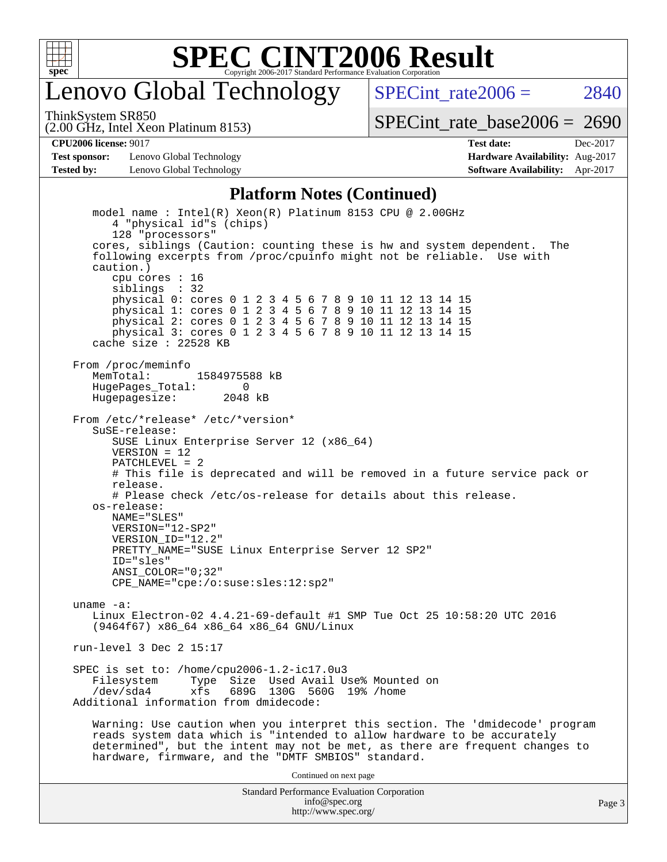

### enovo Global Technology

SPECint rate $2006 = 2840$ 

ThinkSystem SR850

(2.00 GHz, Intel Xeon Platinum 8153)

[SPECint\\_rate\\_base2006 =](http://www.spec.org/auto/cpu2006/Docs/result-fields.html#SPECintratebase2006) 2690

**[Test sponsor:](http://www.spec.org/auto/cpu2006/Docs/result-fields.html#Testsponsor)** Lenovo Global Technology **[Hardware Availability:](http://www.spec.org/auto/cpu2006/Docs/result-fields.html#HardwareAvailability)** Aug-2017 **[Tested by:](http://www.spec.org/auto/cpu2006/Docs/result-fields.html#Testedby)** Lenovo Global Technology **[Software Availability:](http://www.spec.org/auto/cpu2006/Docs/result-fields.html#SoftwareAvailability)** Apr-2017

**[CPU2006 license:](http://www.spec.org/auto/cpu2006/Docs/result-fields.html#CPU2006license)** 9017 **[Test date:](http://www.spec.org/auto/cpu2006/Docs/result-fields.html#Testdate)** Dec-2017

#### **[Platform Notes \(Continued\)](http://www.spec.org/auto/cpu2006/Docs/result-fields.html#PlatformNotes)**

Standard Performance Evaluation Corporation model name : Intel(R) Xeon(R) Platinum 8153 CPU @ 2.00GHz 4 "physical id"s (chips) 128 "processors" cores, siblings (Caution: counting these is hw and system dependent. The following excerpts from /proc/cpuinfo might not be reliable. Use with caution.) cpu cores : 16 siblings : 32 physical 0: cores 0 1 2 3 4 5 6 7 8 9 10 11 12 13 14 15 physical 1: cores 0 1 2 3 4 5 6 7 8 9 10 11 12 13 14 15 physical 2: cores 0 1 2 3 4 5 6 7 8 9 10 11 12 13 14 15 physical 3: cores 0 1 2 3 4 5 6 7 8 9 10 11 12 13 14 15 cache size : 22528 KB From /proc/meminfo MemTotal: 1584975588 kB<br>HugeBages Total: 0 HugePages\_Total: 0 Hugepagesize: 2048 kB From /etc/\*release\* /etc/\*version\* SuSE-release: SUSE Linux Enterprise Server 12 (x86\_64)  $VFRSTON = 12$  PATCHLEVEL = 2 # This file is deprecated and will be removed in a future service pack or release. # Please check /etc/os-release for details about this release. os-release: NAME="SLES" VERSION="12-SP2" VERSION\_ID="12.2" PRETTY\_NAME="SUSE Linux Enterprise Server 12 SP2" ID="sles" ANSI\_COLOR="0;32" CPE\_NAME="cpe:/o:suse:sles:12:sp2" uname -a: Linux Electron-02 4.4.21-69-default #1 SMP Tue Oct 25 10:58:20 UTC 2016 (9464f67) x86\_64 x86\_64 x86\_64 GNU/Linux run-level 3 Dec 2 15:17 SPEC is set to: /home/cpu2006-1.2-ic17.0u3 Type Size Used Avail Use% Mounted on /dev/sda4 xfs 689G 130G 560G 19% /home Additional information from dmidecode: Warning: Use caution when you interpret this section. The 'dmidecode' program reads system data which is "intended to allow hardware to be accurately determined", but the intent may not be met, as there are frequent changes to hardware, firmware, and the "DMTF SMBIOS" standard. Continued on next page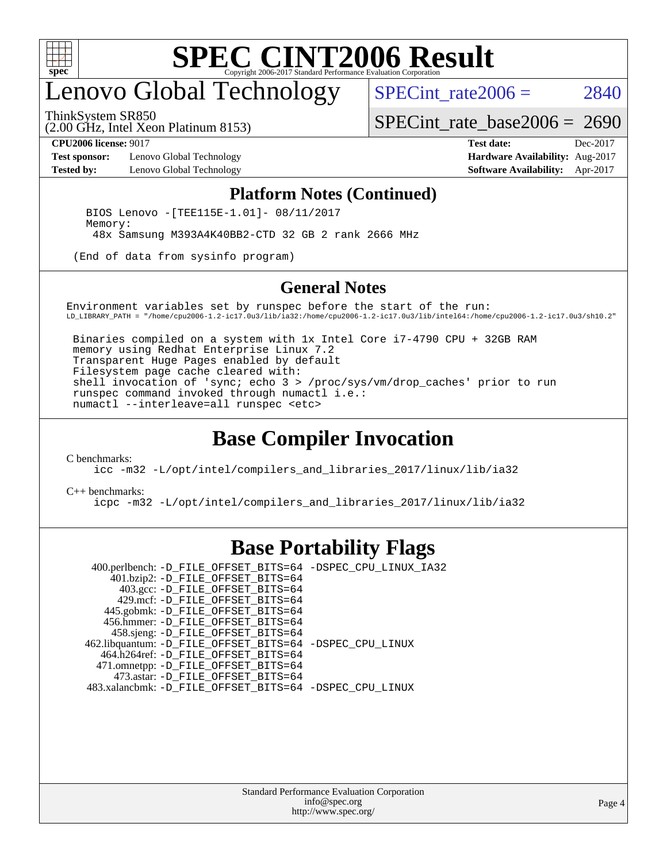

# enovo Global Technology

ThinkSystem SR850

SPECint rate  $2006 = 2840$ 

(2.00 GHz, Intel Xeon Platinum 8153)

**[Test sponsor:](http://www.spec.org/auto/cpu2006/Docs/result-fields.html#Testsponsor)** Lenovo Global Technology **[Hardware Availability:](http://www.spec.org/auto/cpu2006/Docs/result-fields.html#HardwareAvailability)** Aug-2017

[SPECint\\_rate\\_base2006 =](http://www.spec.org/auto/cpu2006/Docs/result-fields.html#SPECintratebase2006) 2690 **[CPU2006 license:](http://www.spec.org/auto/cpu2006/Docs/result-fields.html#CPU2006license)** 9017 **[Test date:](http://www.spec.org/auto/cpu2006/Docs/result-fields.html#Testdate)** Dec-2017

**[Tested by:](http://www.spec.org/auto/cpu2006/Docs/result-fields.html#Testedby)** Lenovo Global Technology **[Software Availability:](http://www.spec.org/auto/cpu2006/Docs/result-fields.html#SoftwareAvailability)** Apr-2017

#### **[Platform Notes \(Continued\)](http://www.spec.org/auto/cpu2006/Docs/result-fields.html#PlatformNotes)**

 BIOS Lenovo -[TEE115E-1.01]- 08/11/2017 Memory: 48x Samsung M393A4K40BB2-CTD 32 GB 2 rank 2666 MHz

(End of data from sysinfo program)

#### **[General Notes](http://www.spec.org/auto/cpu2006/Docs/result-fields.html#GeneralNotes)**

Environment variables set by runspec before the start of the run: LD\_LIBRARY\_PATH = "/home/cpu2006-1.2-ic17.0u3/lib/ia32:/home/cpu2006-1.2-ic17.0u3/lib/intel64:/home/cpu2006-1.2-ic17.0u3/sh10.2"

 Binaries compiled on a system with 1x Intel Core i7-4790 CPU + 32GB RAM memory using Redhat Enterprise Linux 7.2 Transparent Huge Pages enabled by default Filesystem page cache cleared with: shell invocation of 'sync; echo 3 > /proc/sys/vm/drop\_caches' prior to run runspec command invoked through numactl i.e.: numactl --interleave=all runspec <etc>

#### **[Base Compiler Invocation](http://www.spec.org/auto/cpu2006/Docs/result-fields.html#BaseCompilerInvocation)**

[C benchmarks](http://www.spec.org/auto/cpu2006/Docs/result-fields.html#Cbenchmarks):

[icc -m32 -L/opt/intel/compilers\\_and\\_libraries\\_2017/linux/lib/ia32](http://www.spec.org/cpu2006/results/res2017q4/cpu2006-20171211-51121.flags.html#user_CCbase_intel_icc_c29f3ff5a7ed067b11e4ec10a03f03ae)

[C++ benchmarks:](http://www.spec.org/auto/cpu2006/Docs/result-fields.html#CXXbenchmarks)

[icpc -m32 -L/opt/intel/compilers\\_and\\_libraries\\_2017/linux/lib/ia32](http://www.spec.org/cpu2006/results/res2017q4/cpu2006-20171211-51121.flags.html#user_CXXbase_intel_icpc_8c35c7808b62dab9ae41a1aa06361b6b)

#### **[Base Portability Flags](http://www.spec.org/auto/cpu2006/Docs/result-fields.html#BasePortabilityFlags)**

 400.perlbench: [-D\\_FILE\\_OFFSET\\_BITS=64](http://www.spec.org/cpu2006/results/res2017q4/cpu2006-20171211-51121.flags.html#user_basePORTABILITY400_perlbench_file_offset_bits_64_438cf9856305ebd76870a2c6dc2689ab) [-DSPEC\\_CPU\\_LINUX\\_IA32](http://www.spec.org/cpu2006/results/res2017q4/cpu2006-20171211-51121.flags.html#b400.perlbench_baseCPORTABILITY_DSPEC_CPU_LINUX_IA32) 401.bzip2: [-D\\_FILE\\_OFFSET\\_BITS=64](http://www.spec.org/cpu2006/results/res2017q4/cpu2006-20171211-51121.flags.html#user_basePORTABILITY401_bzip2_file_offset_bits_64_438cf9856305ebd76870a2c6dc2689ab) 403.gcc: [-D\\_FILE\\_OFFSET\\_BITS=64](http://www.spec.org/cpu2006/results/res2017q4/cpu2006-20171211-51121.flags.html#user_basePORTABILITY403_gcc_file_offset_bits_64_438cf9856305ebd76870a2c6dc2689ab) 429.mcf: [-D\\_FILE\\_OFFSET\\_BITS=64](http://www.spec.org/cpu2006/results/res2017q4/cpu2006-20171211-51121.flags.html#user_basePORTABILITY429_mcf_file_offset_bits_64_438cf9856305ebd76870a2c6dc2689ab) 445.gobmk: [-D\\_FILE\\_OFFSET\\_BITS=64](http://www.spec.org/cpu2006/results/res2017q4/cpu2006-20171211-51121.flags.html#user_basePORTABILITY445_gobmk_file_offset_bits_64_438cf9856305ebd76870a2c6dc2689ab) 456.hmmer: [-D\\_FILE\\_OFFSET\\_BITS=64](http://www.spec.org/cpu2006/results/res2017q4/cpu2006-20171211-51121.flags.html#user_basePORTABILITY456_hmmer_file_offset_bits_64_438cf9856305ebd76870a2c6dc2689ab) 458.sjeng: [-D\\_FILE\\_OFFSET\\_BITS=64](http://www.spec.org/cpu2006/results/res2017q4/cpu2006-20171211-51121.flags.html#user_basePORTABILITY458_sjeng_file_offset_bits_64_438cf9856305ebd76870a2c6dc2689ab) 462.libquantum: [-D\\_FILE\\_OFFSET\\_BITS=64](http://www.spec.org/cpu2006/results/res2017q4/cpu2006-20171211-51121.flags.html#user_basePORTABILITY462_libquantum_file_offset_bits_64_438cf9856305ebd76870a2c6dc2689ab) [-DSPEC\\_CPU\\_LINUX](http://www.spec.org/cpu2006/results/res2017q4/cpu2006-20171211-51121.flags.html#b462.libquantum_baseCPORTABILITY_DSPEC_CPU_LINUX) 464.h264ref: [-D\\_FILE\\_OFFSET\\_BITS=64](http://www.spec.org/cpu2006/results/res2017q4/cpu2006-20171211-51121.flags.html#user_basePORTABILITY464_h264ref_file_offset_bits_64_438cf9856305ebd76870a2c6dc2689ab) 471.omnetpp: [-D\\_FILE\\_OFFSET\\_BITS=64](http://www.spec.org/cpu2006/results/res2017q4/cpu2006-20171211-51121.flags.html#user_basePORTABILITY471_omnetpp_file_offset_bits_64_438cf9856305ebd76870a2c6dc2689ab) 473.astar: [-D\\_FILE\\_OFFSET\\_BITS=64](http://www.spec.org/cpu2006/results/res2017q4/cpu2006-20171211-51121.flags.html#user_basePORTABILITY473_astar_file_offset_bits_64_438cf9856305ebd76870a2c6dc2689ab) 483.xalancbmk: [-D\\_FILE\\_OFFSET\\_BITS=64](http://www.spec.org/cpu2006/results/res2017q4/cpu2006-20171211-51121.flags.html#user_basePORTABILITY483_xalancbmk_file_offset_bits_64_438cf9856305ebd76870a2c6dc2689ab) [-DSPEC\\_CPU\\_LINUX](http://www.spec.org/cpu2006/results/res2017q4/cpu2006-20171211-51121.flags.html#b483.xalancbmk_baseCXXPORTABILITY_DSPEC_CPU_LINUX)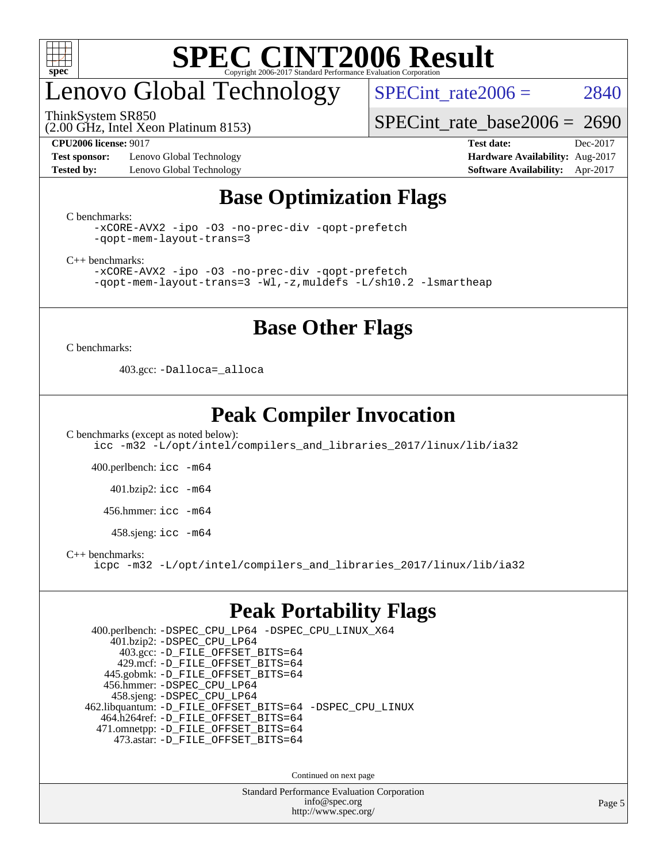

# enovo Global Technology

ThinkSystem SR850

SPECint rate $2006 = 2840$ 

(2.00 GHz, Intel Xeon Platinum 8153)

**[Test sponsor:](http://www.spec.org/auto/cpu2006/Docs/result-fields.html#Testsponsor)** Lenovo Global Technology **[Hardware Availability:](http://www.spec.org/auto/cpu2006/Docs/result-fields.html#HardwareAvailability)** Aug-2017

[SPECint\\_rate\\_base2006 =](http://www.spec.org/auto/cpu2006/Docs/result-fields.html#SPECintratebase2006) 2690 **[CPU2006 license:](http://www.spec.org/auto/cpu2006/Docs/result-fields.html#CPU2006license)** 9017 **[Test date:](http://www.spec.org/auto/cpu2006/Docs/result-fields.html#Testdate)** Dec-2017

**[Tested by:](http://www.spec.org/auto/cpu2006/Docs/result-fields.html#Testedby)** Lenovo Global Technology **[Software Availability:](http://www.spec.org/auto/cpu2006/Docs/result-fields.html#SoftwareAvailability)** Apr-2017

#### **[Base Optimization Flags](http://www.spec.org/auto/cpu2006/Docs/result-fields.html#BaseOptimizationFlags)**

[C benchmarks](http://www.spec.org/auto/cpu2006/Docs/result-fields.html#Cbenchmarks):

[-xCORE-AVX2](http://www.spec.org/cpu2006/results/res2017q4/cpu2006-20171211-51121.flags.html#user_CCbase_f-xCORE-AVX2) [-ipo](http://www.spec.org/cpu2006/results/res2017q4/cpu2006-20171211-51121.flags.html#user_CCbase_f-ipo) [-O3](http://www.spec.org/cpu2006/results/res2017q4/cpu2006-20171211-51121.flags.html#user_CCbase_f-O3) [-no-prec-div](http://www.spec.org/cpu2006/results/res2017q4/cpu2006-20171211-51121.flags.html#user_CCbase_f-no-prec-div) [-qopt-prefetch](http://www.spec.org/cpu2006/results/res2017q4/cpu2006-20171211-51121.flags.html#user_CCbase_f-qopt-prefetch) [-qopt-mem-layout-trans=3](http://www.spec.org/cpu2006/results/res2017q4/cpu2006-20171211-51121.flags.html#user_CCbase_f-qopt-mem-layout-trans_170f5be61cd2cedc9b54468c59262d5d)

[C++ benchmarks:](http://www.spec.org/auto/cpu2006/Docs/result-fields.html#CXXbenchmarks)

[-xCORE-AVX2](http://www.spec.org/cpu2006/results/res2017q4/cpu2006-20171211-51121.flags.html#user_CXXbase_f-xCORE-AVX2) [-ipo](http://www.spec.org/cpu2006/results/res2017q4/cpu2006-20171211-51121.flags.html#user_CXXbase_f-ipo) [-O3](http://www.spec.org/cpu2006/results/res2017q4/cpu2006-20171211-51121.flags.html#user_CXXbase_f-O3) [-no-prec-div](http://www.spec.org/cpu2006/results/res2017q4/cpu2006-20171211-51121.flags.html#user_CXXbase_f-no-prec-div) [-qopt-prefetch](http://www.spec.org/cpu2006/results/res2017q4/cpu2006-20171211-51121.flags.html#user_CXXbase_f-qopt-prefetch) [-qopt-mem-layout-trans=3](http://www.spec.org/cpu2006/results/res2017q4/cpu2006-20171211-51121.flags.html#user_CXXbase_f-qopt-mem-layout-trans_170f5be61cd2cedc9b54468c59262d5d) [-Wl,-z,muldefs](http://www.spec.org/cpu2006/results/res2017q4/cpu2006-20171211-51121.flags.html#user_CXXbase_link_force_multiple1_74079c344b956b9658436fd1b6dd3a8a) [-L/sh10.2 -lsmartheap](http://www.spec.org/cpu2006/results/res2017q4/cpu2006-20171211-51121.flags.html#user_CXXbase_SmartHeap_b831f2d313e2fffa6dfe3f00ffc1f1c0)

#### **[Base Other Flags](http://www.spec.org/auto/cpu2006/Docs/result-fields.html#BaseOtherFlags)**

[C benchmarks](http://www.spec.org/auto/cpu2006/Docs/result-fields.html#Cbenchmarks):

403.gcc: [-Dalloca=\\_alloca](http://www.spec.org/cpu2006/results/res2017q4/cpu2006-20171211-51121.flags.html#b403.gcc_baseEXTRA_CFLAGS_Dalloca_be3056838c12de2578596ca5467af7f3)

#### **[Peak Compiler Invocation](http://www.spec.org/auto/cpu2006/Docs/result-fields.html#PeakCompilerInvocation)**

[C benchmarks \(except as noted below\)](http://www.spec.org/auto/cpu2006/Docs/result-fields.html#Cbenchmarksexceptasnotedbelow): [icc -m32 -L/opt/intel/compilers\\_and\\_libraries\\_2017/linux/lib/ia32](http://www.spec.org/cpu2006/results/res2017q4/cpu2006-20171211-51121.flags.html#user_CCpeak_intel_icc_c29f3ff5a7ed067b11e4ec10a03f03ae)

400.perlbench: [icc -m64](http://www.spec.org/cpu2006/results/res2017q4/cpu2006-20171211-51121.flags.html#user_peakCCLD400_perlbench_intel_icc_64bit_bda6cc9af1fdbb0edc3795bac97ada53)

401.bzip2: [icc -m64](http://www.spec.org/cpu2006/results/res2017q4/cpu2006-20171211-51121.flags.html#user_peakCCLD401_bzip2_intel_icc_64bit_bda6cc9af1fdbb0edc3795bac97ada53)

456.hmmer: [icc -m64](http://www.spec.org/cpu2006/results/res2017q4/cpu2006-20171211-51121.flags.html#user_peakCCLD456_hmmer_intel_icc_64bit_bda6cc9af1fdbb0edc3795bac97ada53)

458.sjeng: [icc -m64](http://www.spec.org/cpu2006/results/res2017q4/cpu2006-20171211-51121.flags.html#user_peakCCLD458_sjeng_intel_icc_64bit_bda6cc9af1fdbb0edc3795bac97ada53)

[C++ benchmarks:](http://www.spec.org/auto/cpu2006/Docs/result-fields.html#CXXbenchmarks)

[icpc -m32 -L/opt/intel/compilers\\_and\\_libraries\\_2017/linux/lib/ia32](http://www.spec.org/cpu2006/results/res2017q4/cpu2006-20171211-51121.flags.html#user_CXXpeak_intel_icpc_8c35c7808b62dab9ae41a1aa06361b6b)

#### **[Peak Portability Flags](http://www.spec.org/auto/cpu2006/Docs/result-fields.html#PeakPortabilityFlags)**

 400.perlbench: [-DSPEC\\_CPU\\_LP64](http://www.spec.org/cpu2006/results/res2017q4/cpu2006-20171211-51121.flags.html#b400.perlbench_peakCPORTABILITY_DSPEC_CPU_LP64) [-DSPEC\\_CPU\\_LINUX\\_X64](http://www.spec.org/cpu2006/results/res2017q4/cpu2006-20171211-51121.flags.html#b400.perlbench_peakCPORTABILITY_DSPEC_CPU_LINUX_X64) 401.bzip2: [-DSPEC\\_CPU\\_LP64](http://www.spec.org/cpu2006/results/res2017q4/cpu2006-20171211-51121.flags.html#suite_peakCPORTABILITY401_bzip2_DSPEC_CPU_LP64) 403.gcc: [-D\\_FILE\\_OFFSET\\_BITS=64](http://www.spec.org/cpu2006/results/res2017q4/cpu2006-20171211-51121.flags.html#user_peakPORTABILITY403_gcc_file_offset_bits_64_438cf9856305ebd76870a2c6dc2689ab) 429.mcf: [-D\\_FILE\\_OFFSET\\_BITS=64](http://www.spec.org/cpu2006/results/res2017q4/cpu2006-20171211-51121.flags.html#user_peakPORTABILITY429_mcf_file_offset_bits_64_438cf9856305ebd76870a2c6dc2689ab) 445.gobmk: [-D\\_FILE\\_OFFSET\\_BITS=64](http://www.spec.org/cpu2006/results/res2017q4/cpu2006-20171211-51121.flags.html#user_peakPORTABILITY445_gobmk_file_offset_bits_64_438cf9856305ebd76870a2c6dc2689ab) 456.hmmer: [-DSPEC\\_CPU\\_LP64](http://www.spec.org/cpu2006/results/res2017q4/cpu2006-20171211-51121.flags.html#suite_peakCPORTABILITY456_hmmer_DSPEC_CPU_LP64) 458.sjeng: [-DSPEC\\_CPU\\_LP64](http://www.spec.org/cpu2006/results/res2017q4/cpu2006-20171211-51121.flags.html#suite_peakCPORTABILITY458_sjeng_DSPEC_CPU_LP64) 462.libquantum: [-D\\_FILE\\_OFFSET\\_BITS=64](http://www.spec.org/cpu2006/results/res2017q4/cpu2006-20171211-51121.flags.html#user_peakPORTABILITY462_libquantum_file_offset_bits_64_438cf9856305ebd76870a2c6dc2689ab) [-DSPEC\\_CPU\\_LINUX](http://www.spec.org/cpu2006/results/res2017q4/cpu2006-20171211-51121.flags.html#b462.libquantum_peakCPORTABILITY_DSPEC_CPU_LINUX) 464.h264ref: [-D\\_FILE\\_OFFSET\\_BITS=64](http://www.spec.org/cpu2006/results/res2017q4/cpu2006-20171211-51121.flags.html#user_peakPORTABILITY464_h264ref_file_offset_bits_64_438cf9856305ebd76870a2c6dc2689ab) 471.omnetpp: [-D\\_FILE\\_OFFSET\\_BITS=64](http://www.spec.org/cpu2006/results/res2017q4/cpu2006-20171211-51121.flags.html#user_peakPORTABILITY471_omnetpp_file_offset_bits_64_438cf9856305ebd76870a2c6dc2689ab) 473.astar: [-D\\_FILE\\_OFFSET\\_BITS=64](http://www.spec.org/cpu2006/results/res2017q4/cpu2006-20171211-51121.flags.html#user_peakPORTABILITY473_astar_file_offset_bits_64_438cf9856305ebd76870a2c6dc2689ab)

Continued on next page

Standard Performance Evaluation Corporation [info@spec.org](mailto:info@spec.org) <http://www.spec.org/>

Page 5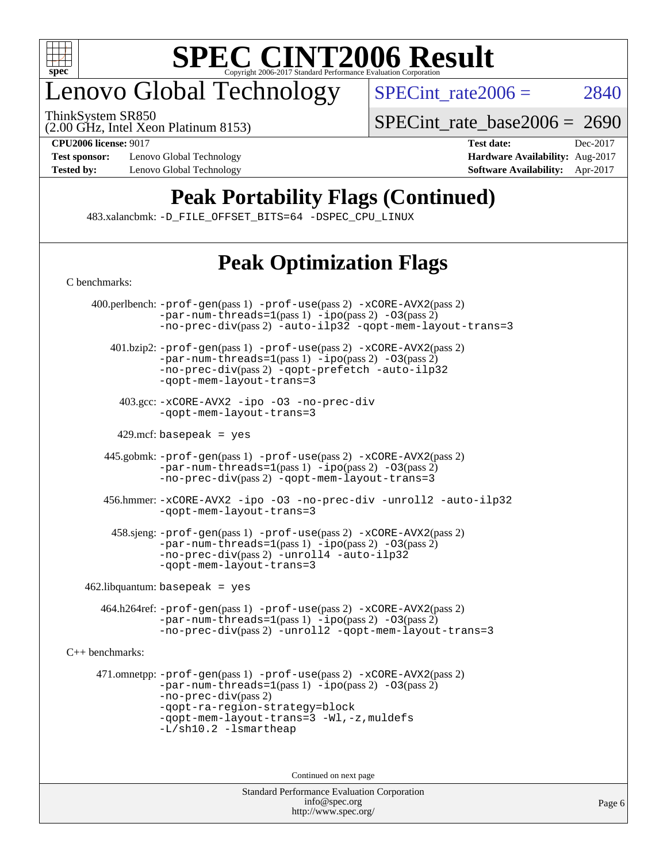

## enovo Global Technology

ThinkSystem SR850

SPECint rate $2006 = 2840$ 

(2.00 GHz, Intel Xeon Platinum 8153)

**[Test sponsor:](http://www.spec.org/auto/cpu2006/Docs/result-fields.html#Testsponsor)** Lenovo Global Technology **[Hardware Availability:](http://www.spec.org/auto/cpu2006/Docs/result-fields.html#HardwareAvailability)** Aug-2017

[SPECint\\_rate\\_base2006 =](http://www.spec.org/auto/cpu2006/Docs/result-fields.html#SPECintratebase2006) 2690

**[CPU2006 license:](http://www.spec.org/auto/cpu2006/Docs/result-fields.html#CPU2006license)** 9017 **[Test date:](http://www.spec.org/auto/cpu2006/Docs/result-fields.html#Testdate)** Dec-2017 **[Tested by:](http://www.spec.org/auto/cpu2006/Docs/result-fields.html#Testedby)** Lenovo Global Technology **[Software Availability:](http://www.spec.org/auto/cpu2006/Docs/result-fields.html#SoftwareAvailability)** Apr-2017

### **[Peak Portability Flags \(Continued\)](http://www.spec.org/auto/cpu2006/Docs/result-fields.html#PeakPortabilityFlags)**

483.xalancbmk: [-D\\_FILE\\_OFFSET\\_BITS=64](http://www.spec.org/cpu2006/results/res2017q4/cpu2006-20171211-51121.flags.html#user_peakPORTABILITY483_xalancbmk_file_offset_bits_64_438cf9856305ebd76870a2c6dc2689ab) [-DSPEC\\_CPU\\_LINUX](http://www.spec.org/cpu2006/results/res2017q4/cpu2006-20171211-51121.flags.html#b483.xalancbmk_peakCXXPORTABILITY_DSPEC_CPU_LINUX)

### **[Peak Optimization Flags](http://www.spec.org/auto/cpu2006/Docs/result-fields.html#PeakOptimizationFlags)**

Standard Performance Evaluation Corporation [C benchmarks](http://www.spec.org/auto/cpu2006/Docs/result-fields.html#Cbenchmarks): 400.perlbench: [-prof-gen](http://www.spec.org/cpu2006/results/res2017q4/cpu2006-20171211-51121.flags.html#user_peakPASS1_CFLAGSPASS1_LDCFLAGS400_perlbench_prof_gen_e43856698f6ca7b7e442dfd80e94a8fc)(pass 1) [-prof-use](http://www.spec.org/cpu2006/results/res2017q4/cpu2006-20171211-51121.flags.html#user_peakPASS2_CFLAGSPASS2_LDCFLAGS400_perlbench_prof_use_bccf7792157ff70d64e32fe3e1250b55)(pass 2) [-xCORE-AVX2](http://www.spec.org/cpu2006/results/res2017q4/cpu2006-20171211-51121.flags.html#user_peakPASS2_CFLAGSPASS2_LDCFLAGS400_perlbench_f-xCORE-AVX2)(pass 2)  $-par-num-threads=1(pass 1) -ipo(pass 2) -O3(pass 2)$  $-par-num-threads=1(pass 1) -ipo(pass 2) -O3(pass 2)$  $-par-num-threads=1(pass 1) -ipo(pass 2) -O3(pass 2)$  $-par-num-threads=1(pass 1) -ipo(pass 2) -O3(pass 2)$  $-par-num-threads=1(pass 1) -ipo(pass 2) -O3(pass 2)$  $-par-num-threads=1(pass 1) -ipo(pass 2) -O3(pass 2)$ [-no-prec-div](http://www.spec.org/cpu2006/results/res2017q4/cpu2006-20171211-51121.flags.html#user_peakPASS2_CFLAGSPASS2_LDCFLAGS400_perlbench_f-no-prec-div)(pass 2) [-auto-ilp32](http://www.spec.org/cpu2006/results/res2017q4/cpu2006-20171211-51121.flags.html#user_peakCOPTIMIZE400_perlbench_f-auto-ilp32) [-qopt-mem-layout-trans=3](http://www.spec.org/cpu2006/results/res2017q4/cpu2006-20171211-51121.flags.html#user_peakCOPTIMIZE400_perlbench_f-qopt-mem-layout-trans_170f5be61cd2cedc9b54468c59262d5d) 401.bzip2: [-prof-gen](http://www.spec.org/cpu2006/results/res2017q4/cpu2006-20171211-51121.flags.html#user_peakPASS1_CFLAGSPASS1_LDCFLAGS401_bzip2_prof_gen_e43856698f6ca7b7e442dfd80e94a8fc)(pass 1) [-prof-use](http://www.spec.org/cpu2006/results/res2017q4/cpu2006-20171211-51121.flags.html#user_peakPASS2_CFLAGSPASS2_LDCFLAGS401_bzip2_prof_use_bccf7792157ff70d64e32fe3e1250b55)(pass 2) [-xCORE-AVX2](http://www.spec.org/cpu2006/results/res2017q4/cpu2006-20171211-51121.flags.html#user_peakPASS2_CFLAGSPASS2_LDCFLAGS401_bzip2_f-xCORE-AVX2)(pass 2) [-par-num-threads=1](http://www.spec.org/cpu2006/results/res2017q4/cpu2006-20171211-51121.flags.html#user_peakPASS1_CFLAGSPASS1_LDCFLAGS401_bzip2_par_num_threads_786a6ff141b4e9e90432e998842df6c2)(pass 1) [-ipo](http://www.spec.org/cpu2006/results/res2017q4/cpu2006-20171211-51121.flags.html#user_peakPASS2_CFLAGSPASS2_LDCFLAGS401_bzip2_f-ipo)(pass 2) [-O3](http://www.spec.org/cpu2006/results/res2017q4/cpu2006-20171211-51121.flags.html#user_peakPASS2_CFLAGSPASS2_LDCFLAGS401_bzip2_f-O3)(pass 2) [-no-prec-div](http://www.spec.org/cpu2006/results/res2017q4/cpu2006-20171211-51121.flags.html#user_peakPASS2_CFLAGSPASS2_LDCFLAGS401_bzip2_f-no-prec-div)(pass 2) [-qopt-prefetch](http://www.spec.org/cpu2006/results/res2017q4/cpu2006-20171211-51121.flags.html#user_peakCOPTIMIZE401_bzip2_f-qopt-prefetch) [-auto-ilp32](http://www.spec.org/cpu2006/results/res2017q4/cpu2006-20171211-51121.flags.html#user_peakCOPTIMIZE401_bzip2_f-auto-ilp32) [-qopt-mem-layout-trans=3](http://www.spec.org/cpu2006/results/res2017q4/cpu2006-20171211-51121.flags.html#user_peakCOPTIMIZE401_bzip2_f-qopt-mem-layout-trans_170f5be61cd2cedc9b54468c59262d5d) 403.gcc: [-xCORE-AVX2](http://www.spec.org/cpu2006/results/res2017q4/cpu2006-20171211-51121.flags.html#user_peakOPTIMIZE403_gcc_f-xCORE-AVX2) [-ipo](http://www.spec.org/cpu2006/results/res2017q4/cpu2006-20171211-51121.flags.html#user_peakOPTIMIZE403_gcc_f-ipo) [-O3](http://www.spec.org/cpu2006/results/res2017q4/cpu2006-20171211-51121.flags.html#user_peakOPTIMIZE403_gcc_f-O3) [-no-prec-div](http://www.spec.org/cpu2006/results/res2017q4/cpu2006-20171211-51121.flags.html#user_peakOPTIMIZE403_gcc_f-no-prec-div) [-qopt-mem-layout-trans=3](http://www.spec.org/cpu2006/results/res2017q4/cpu2006-20171211-51121.flags.html#user_peakCOPTIMIZE403_gcc_f-qopt-mem-layout-trans_170f5be61cd2cedc9b54468c59262d5d)  $429$ .mcf: basepeak = yes 445.gobmk: [-prof-gen](http://www.spec.org/cpu2006/results/res2017q4/cpu2006-20171211-51121.flags.html#user_peakPASS1_CFLAGSPASS1_LDCFLAGS445_gobmk_prof_gen_e43856698f6ca7b7e442dfd80e94a8fc)(pass 1) [-prof-use](http://www.spec.org/cpu2006/results/res2017q4/cpu2006-20171211-51121.flags.html#user_peakPASS2_CFLAGSPASS2_LDCFLAGSPASS2_LDFLAGS445_gobmk_prof_use_bccf7792157ff70d64e32fe3e1250b55)(pass 2) [-xCORE-AVX2](http://www.spec.org/cpu2006/results/res2017q4/cpu2006-20171211-51121.flags.html#user_peakPASS2_CFLAGSPASS2_LDCFLAGSPASS2_LDFLAGS445_gobmk_f-xCORE-AVX2)(pass 2)  $-par-num-threads=1(pass 1) -ipo(pass 2) -O3(pass 2)$  $-par-num-threads=1(pass 1) -ipo(pass 2) -O3(pass 2)$  $-par-num-threads=1(pass 1) -ipo(pass 2) -O3(pass 2)$  $-par-num-threads=1(pass 1) -ipo(pass 2) -O3(pass 2)$  $-par-num-threads=1(pass 1) -ipo(pass 2) -O3(pass 2)$  $-par-num-threads=1(pass 1) -ipo(pass 2) -O3(pass 2)$ [-no-prec-div](http://www.spec.org/cpu2006/results/res2017q4/cpu2006-20171211-51121.flags.html#user_peakPASS2_LDCFLAGS445_gobmk_f-no-prec-div)(pass 2) [-qopt-mem-layout-trans=3](http://www.spec.org/cpu2006/results/res2017q4/cpu2006-20171211-51121.flags.html#user_peakCOPTIMIZE445_gobmk_f-qopt-mem-layout-trans_170f5be61cd2cedc9b54468c59262d5d) 456.hmmer: [-xCORE-AVX2](http://www.spec.org/cpu2006/results/res2017q4/cpu2006-20171211-51121.flags.html#user_peakOPTIMIZE456_hmmer_f-xCORE-AVX2) [-ipo](http://www.spec.org/cpu2006/results/res2017q4/cpu2006-20171211-51121.flags.html#user_peakOPTIMIZE456_hmmer_f-ipo) [-O3](http://www.spec.org/cpu2006/results/res2017q4/cpu2006-20171211-51121.flags.html#user_peakOPTIMIZE456_hmmer_f-O3) [-no-prec-div](http://www.spec.org/cpu2006/results/res2017q4/cpu2006-20171211-51121.flags.html#user_peakOPTIMIZE456_hmmer_f-no-prec-div) [-unroll2](http://www.spec.org/cpu2006/results/res2017q4/cpu2006-20171211-51121.flags.html#user_peakCOPTIMIZE456_hmmer_f-unroll_784dae83bebfb236979b41d2422d7ec2) [-auto-ilp32](http://www.spec.org/cpu2006/results/res2017q4/cpu2006-20171211-51121.flags.html#user_peakCOPTIMIZE456_hmmer_f-auto-ilp32) [-qopt-mem-layout-trans=3](http://www.spec.org/cpu2006/results/res2017q4/cpu2006-20171211-51121.flags.html#user_peakCOPTIMIZE456_hmmer_f-qopt-mem-layout-trans_170f5be61cd2cedc9b54468c59262d5d) 458.sjeng: [-prof-gen](http://www.spec.org/cpu2006/results/res2017q4/cpu2006-20171211-51121.flags.html#user_peakPASS1_CFLAGSPASS1_LDCFLAGS458_sjeng_prof_gen_e43856698f6ca7b7e442dfd80e94a8fc)(pass 1) [-prof-use](http://www.spec.org/cpu2006/results/res2017q4/cpu2006-20171211-51121.flags.html#user_peakPASS2_CFLAGSPASS2_LDCFLAGS458_sjeng_prof_use_bccf7792157ff70d64e32fe3e1250b55)(pass 2) [-xCORE-AVX2](http://www.spec.org/cpu2006/results/res2017q4/cpu2006-20171211-51121.flags.html#user_peakPASS2_CFLAGSPASS2_LDCFLAGS458_sjeng_f-xCORE-AVX2)(pass 2)  $-par-num-threads=1(pass 1) -ipo(pass 2) -O3(pass 2)$  $-par-num-threads=1(pass 1) -ipo(pass 2) -O3(pass 2)$  $-par-num-threads=1(pass 1) -ipo(pass 2) -O3(pass 2)$  $-par-num-threads=1(pass 1) -ipo(pass 2) -O3(pass 2)$  $-par-num-threads=1(pass 1) -ipo(pass 2) -O3(pass 2)$  $-par-num-threads=1(pass 1) -ipo(pass 2) -O3(pass 2)$ [-no-prec-div](http://www.spec.org/cpu2006/results/res2017q4/cpu2006-20171211-51121.flags.html#user_peakPASS2_CFLAGSPASS2_LDCFLAGS458_sjeng_f-no-prec-div)(pass 2) [-unroll4](http://www.spec.org/cpu2006/results/res2017q4/cpu2006-20171211-51121.flags.html#user_peakCOPTIMIZE458_sjeng_f-unroll_4e5e4ed65b7fd20bdcd365bec371b81f) [-auto-ilp32](http://www.spec.org/cpu2006/results/res2017q4/cpu2006-20171211-51121.flags.html#user_peakCOPTIMIZE458_sjeng_f-auto-ilp32) [-qopt-mem-layout-trans=3](http://www.spec.org/cpu2006/results/res2017q4/cpu2006-20171211-51121.flags.html#user_peakCOPTIMIZE458_sjeng_f-qopt-mem-layout-trans_170f5be61cd2cedc9b54468c59262d5d)  $462$ .libquantum: basepeak = yes 464.h264ref: [-prof-gen](http://www.spec.org/cpu2006/results/res2017q4/cpu2006-20171211-51121.flags.html#user_peakPASS1_CFLAGSPASS1_LDCFLAGS464_h264ref_prof_gen_e43856698f6ca7b7e442dfd80e94a8fc)(pass 1) [-prof-use](http://www.spec.org/cpu2006/results/res2017q4/cpu2006-20171211-51121.flags.html#user_peakPASS2_CFLAGSPASS2_LDCFLAGS464_h264ref_prof_use_bccf7792157ff70d64e32fe3e1250b55)(pass 2) [-xCORE-AVX2](http://www.spec.org/cpu2006/results/res2017q4/cpu2006-20171211-51121.flags.html#user_peakPASS2_CFLAGSPASS2_LDCFLAGS464_h264ref_f-xCORE-AVX2)(pass 2)  $-$ par-num-threads=1(pass 1)  $-$ ipo(pass 2)  $-$ O3(pass 2) [-no-prec-div](http://www.spec.org/cpu2006/results/res2017q4/cpu2006-20171211-51121.flags.html#user_peakPASS2_CFLAGSPASS2_LDCFLAGS464_h264ref_f-no-prec-div)(pass 2) [-unroll2](http://www.spec.org/cpu2006/results/res2017q4/cpu2006-20171211-51121.flags.html#user_peakCOPTIMIZE464_h264ref_f-unroll_784dae83bebfb236979b41d2422d7ec2) [-qopt-mem-layout-trans=3](http://www.spec.org/cpu2006/results/res2017q4/cpu2006-20171211-51121.flags.html#user_peakCOPTIMIZE464_h264ref_f-qopt-mem-layout-trans_170f5be61cd2cedc9b54468c59262d5d) [C++ benchmarks:](http://www.spec.org/auto/cpu2006/Docs/result-fields.html#CXXbenchmarks) 471.omnetpp: [-prof-gen](http://www.spec.org/cpu2006/results/res2017q4/cpu2006-20171211-51121.flags.html#user_peakPASS1_CXXFLAGSPASS1_LDCXXFLAGS471_omnetpp_prof_gen_e43856698f6ca7b7e442dfd80e94a8fc)(pass 1) [-prof-use](http://www.spec.org/cpu2006/results/res2017q4/cpu2006-20171211-51121.flags.html#user_peakPASS2_CXXFLAGSPASS2_LDCXXFLAGS471_omnetpp_prof_use_bccf7792157ff70d64e32fe3e1250b55)(pass 2) [-xCORE-AVX2](http://www.spec.org/cpu2006/results/res2017q4/cpu2006-20171211-51121.flags.html#user_peakPASS2_CXXFLAGSPASS2_LDCXXFLAGS471_omnetpp_f-xCORE-AVX2)(pass 2)  $-par-num-threads=1(pass 1) -ipo(pass 2) -O3(pass 2)$  $-par-num-threads=1(pass 1) -ipo(pass 2) -O3(pass 2)$  $-par-num-threads=1(pass 1) -ipo(pass 2) -O3(pass 2)$  $-par-num-threads=1(pass 1) -ipo(pass 2) -O3(pass 2)$  $-par-num-threads=1(pass 1) -ipo(pass 2) -O3(pass 2)$  $-par-num-threads=1(pass 1) -ipo(pass 2) -O3(pass 2)$ [-no-prec-div](http://www.spec.org/cpu2006/results/res2017q4/cpu2006-20171211-51121.flags.html#user_peakPASS2_CXXFLAGSPASS2_LDCXXFLAGS471_omnetpp_f-no-prec-div)(pass 2) [-qopt-ra-region-strategy=block](http://www.spec.org/cpu2006/results/res2017q4/cpu2006-20171211-51121.flags.html#user_peakCXXOPTIMIZE471_omnetpp_f-qopt-ra-region-strategy_430aa8f7c220cbde92ae827fa8d9be32)  [-qopt-mem-layout-trans=3](http://www.spec.org/cpu2006/results/res2017q4/cpu2006-20171211-51121.flags.html#user_peakCXXOPTIMIZE471_omnetpp_f-qopt-mem-layout-trans_170f5be61cd2cedc9b54468c59262d5d) [-Wl,-z,muldefs](http://www.spec.org/cpu2006/results/res2017q4/cpu2006-20171211-51121.flags.html#user_peakEXTRA_LDFLAGS471_omnetpp_link_force_multiple1_74079c344b956b9658436fd1b6dd3a8a) [-L/sh10.2 -lsmartheap](http://www.spec.org/cpu2006/results/res2017q4/cpu2006-20171211-51121.flags.html#user_peakEXTRA_LIBS471_omnetpp_SmartHeap_b831f2d313e2fffa6dfe3f00ffc1f1c0) Continued on next page

> [info@spec.org](mailto:info@spec.org) <http://www.spec.org/>

Page 6